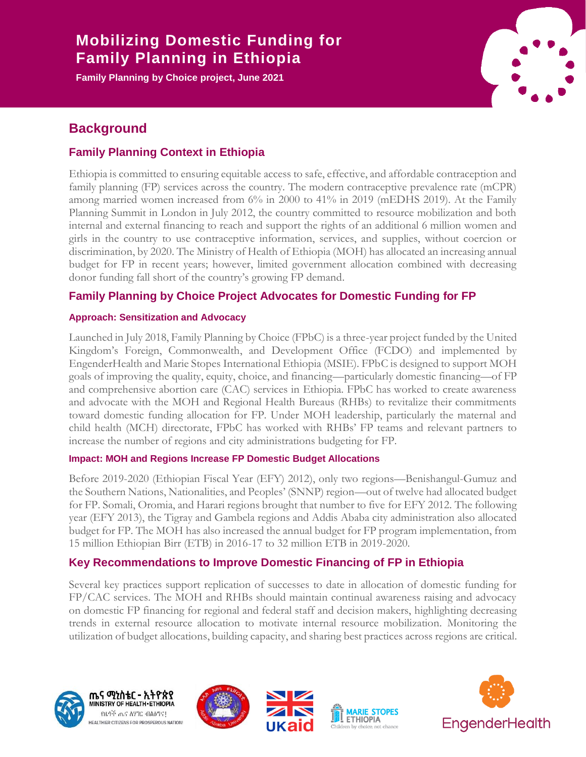# **Title that spans one line in Europe III is a spanning for the Mobilizing Domestic Funding for**  $\mathbf{F}$  **and**  $\mathbf{F}$ **Family Planning in Ethiopia**

**Family Planning by Choice project, June 2021**



# **Background**

## **Family Planning Context in Ethiopia**

Ethiopia is committed to ensuring equitable access to safe, effective, and affordable contraception and family planning (FP) services across the country. The modern contraceptive prevalence rate (mCPR) among married women increased from 6% in 2000 to 41% in 2019 (mEDHS 2019). At the Family Planning Summit in London in July 2012, the country committed to resource mobilization and both internal and external financing to reach and support the rights of an additional 6 million women and girls in the country to use contraceptive information, services, and supplies, without coercion or discrimination, by 2020. The Ministry of Health of Ethiopia (MOH) has allocated an increasing annual budget for FP in recent years; however, limited government allocation combined with decreasing donor funding fall short of the country's growing FP demand.

### **Family Planning by Choice Project Advocates for Domestic Funding for FP**

### **Approach: Sensitization and Advocacy**

Launched in July 2018, Family Planning by Choice (FPbC) is a three-year project funded by the United Kingdom's Foreign, Commonwealth, and Development Office (FCDO) and implemented by EngenderHealth and Marie Stopes International Ethiopia (MSIE). FPbC is designed to support MOH goals of improving the quality, equity, choice, and financing—particularly domestic financing—of FP and comprehensive abortion care (CAC) services in Ethiopia. FPbC has worked to create awareness and advocate with the MOH and Regional Health Bureaus (RHBs) to revitalize their commitments toward domestic funding allocation for FP. Under MOH leadership, particularly the maternal and child health (MCH) directorate, FPbC has worked with RHBs' FP teams and relevant partners to increase the number of regions and city administrations budgeting for FP.

### **Impact: MOH and Regions Increase FP Domestic Budget Allocations**

Before 2019-2020 (Ethiopian Fiscal Year (EFY) 2012), only two regions—Benishangul-Gumuz and the Southern Nations, Nationalities, and Peoples' (SNNP) region—out of twelve had allocated budget for FP. Somali, Oromia, and Harari regions brought that number to five for EFY 2012. The following year (EFY 2013), the Tigray and Gambela regions and Addis Ababa city administration also allocated budget for FP. The MOH has also increased the annual budget for FP program implementation, from 15 million Ethiopian Birr (ETB) in 2016-17 to 32 million ETB in 2019-2020.

### **Key Recommendations to Improve Domestic Financing of FP in Ethiopia**

Several key practices support replication of successes to date in allocation of domestic funding for FP/CAC services. The MOH and RHBs should maintain continual awareness raising and advocacy on domestic FP financing for regional and federal staff and decision makers, highlighting decreasing trends in external resource allocation to motivate internal resource mobilization. Monitoring the utilization of budget allocations, building capacity, and sharing best practices across regions are critical.







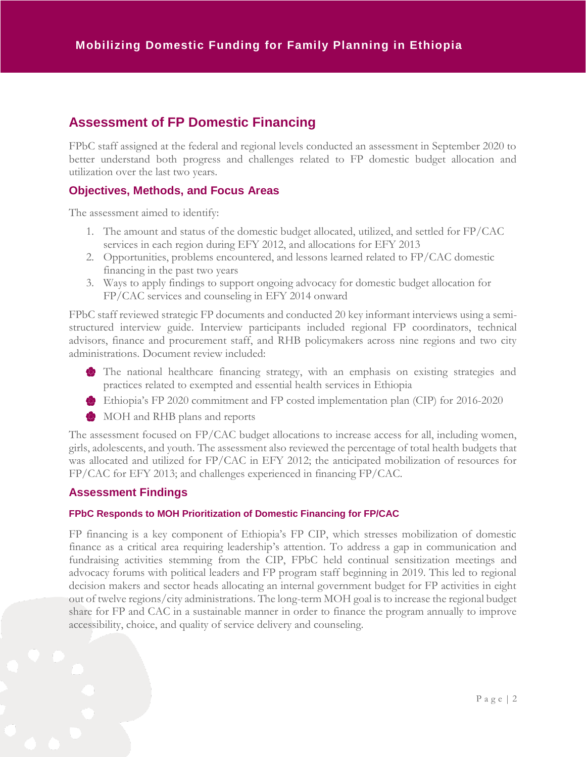# **Assessment of FP Domestic Financing**

FPbC staff assigned at the federal and regional levels conducted an assessment in September 2020 to better understand both progress and challenges related to FP domestic budget allocation and utilization over the last two years.

### **Objectives, Methods, and Focus Areas**

The assessment aimed to identify:

- 1. The amount and status of the domestic budget allocated, utilized, and settled for FP/CAC services in each region during EFY 2012, and allocations for EFY 2013
- 2. Opportunities, problems encountered, and lessons learned related to FP/CAC domestic financing in the past two years
- 3. Ways to apply findings to support ongoing advocacy for domestic budget allocation for FP/CAC services and counseling in EFY 2014 onward

FPbC staff reviewed strategic FP documents and conducted 20 key informant interviews using a semistructured interview guide. Interview participants included regional FP coordinators, technical advisors, finance and procurement staff, and RHB policymakers across nine regions and two city administrations. Document review included:

- The national healthcare financing strategy, with an emphasis on existing strategies and practices related to exempted and essential health services in Ethiopia
- Ethiopia's FP 2020 commitment and FP costed implementation plan (CIP) for 2016-2020
- **MOH** and RHB plans and reports

The assessment focused on FP/CAC budget allocations to increase access for all, including women, girls, adolescents, and youth. The assessment also reviewed the percentage of total health budgets that was allocated and utilized for FP/CAC in EFY 2012; the anticipated mobilization of resources for FP/CAC for EFY 2013; and challenges experienced in financing FP/CAC.

### **Assessment Findings**

#### **FPbC Responds to MOH Prioritization of Domestic Financing for FP/CAC**

FP financing is a key component of Ethiopia's FP CIP, which stresses mobilization of domestic finance as a critical area requiring leadership's attention. To address a gap in communication and fundraising activities stemming from the CIP, FPbC held continual sensitization meetings and advocacy forums with political leaders and FP program staff beginning in 2019. This led to regional decision makers and sector heads allocating an internal government budget for FP activities in eight out of twelve regions/city administrations. The long-term MOH goal is to increase the regional budget share for FP and CAC in a sustainable manner in order to finance the program annually to improve accessibility, choice, and quality of service delivery and counseling.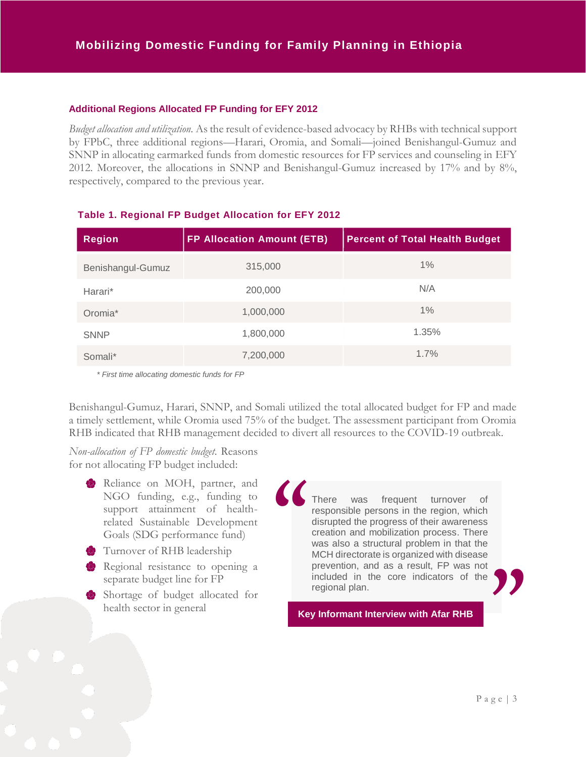#### **Additional Regions Allocated FP Funding for EFY 2012**

*Budget allocation and utilization.* As the result of evidence-based advocacy by RHBs with technical support by FPbC, three additional regions—Harari, Oromia, and Somali—joined Benishangul-Gumuz and SNNP in allocating earmarked funds from domestic resources for FP services and counseling in EFY 2012. Moreover, the allocations in SNNP and Benishangul-Gumuz increased by 17% and by 8%, respectively, compared to the previous year.

| <b>Region</b>       | <b>FP Allocation Amount (ETB)</b> | <b>Percent of Total Health Budget</b> |
|---------------------|-----------------------------------|---------------------------------------|
| Benishangul-Gumuz   | 315,000                           | $1\%$                                 |
| Harari*             | 200,000                           | N/A                                   |
| Oromia <sup>*</sup> | 1,000,000                         | $1\%$                                 |
| <b>SNNP</b>         | 1,800,000                         | 1.35%                                 |
| Somali*             | 7,200,000                         | 1.7%                                  |

#### **Table 1. Regional FP Budget Allocation for EFY 2012**

*\* First time allocating domestic funds for FP*

Benishangul-Gumuz, Harari, SNNP, and Somali utilized the total allocated budget for FP and made a timely settlement, while Oromia used 75% of the budget. The assessment participant from Oromia RHB indicated that RHB management decided to divert all resources to the COVID-19 outbreak.

*Non-allocation of FP domestic budget.* Reasons for not allocating FP budget included:

- Reliance on MOH, partner, and NGO funding, e.g., funding to support attainment of healthrelated Sustainable Development Goals (SDG performance fund)
- Turnover of RHB leadership
- Regional resistance to opening a separate budget line for FP
- Shortage of budget allocated for health sector in general

There was frequent turnover of responsible persons in the region, which disrupted the progress of their awareness creation and mobilization process. There was also a structural problem in that the MCH directorate is organized with disease prevention, and as a result, FP was not included in the core indicators of the regional plan.<br> **y** Informant Interview with Afar RHB<br> **y** Informant Interview with Afar RHB **"**

**Key Informant Interview with Afar RHB**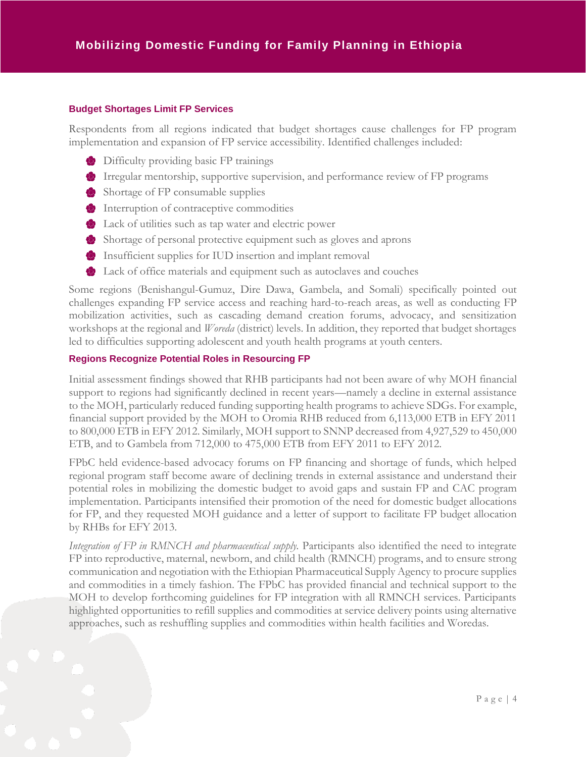#### **Budget Shortages Limit FP Services**

Respondents from all regions indicated that budget shortages cause challenges for FP program implementation and expansion of FP service accessibility. Identified challenges included:

- **Difficulty providing basic FP trainings**
- Irregular mentorship, supportive supervision, and performance review of FP programs
- Shortage of FP consumable supplies
- **Interruption of contraceptive commodities**
- Lack of utilities such as tap water and electric power
- Shortage of personal protective equipment such as gloves and aprons
- Insufficient supplies for IUD insertion and implant removal
- Lack of office materials and equipment such as autoclaves and couches

Some regions (Benishangul-Gumuz, Dire Dawa, Gambela, and Somali) specifically pointed out challenges expanding FP service access and reaching hard-to-reach areas, as well as conducting FP mobilization activities, such as cascading demand creation forums, advocacy, and sensitization workshops at the regional and *Woreda* (district) levels. In addition, they reported that budget shortages led to difficulties supporting adolescent and youth health programs at youth centers.

#### **Regions Recognize Potential Roles in Resourcing FP**

Initial assessment findings showed that RHB participants had not been aware of why MOH financial support to regions had significantly declined in recent years—namely a decline in external assistance to the MOH, particularly reduced funding supporting health programs to achieve SDGs. For example, financial support provided by the MOH to Oromia RHB reduced from 6,113,000 ETB in EFY 2011 to 800,000 ETB in EFY 2012. Similarly, MOH support to SNNP decreased from 4,927,529 to 450,000 ETB, and to Gambela from 712,000 to 475,000 ETB from EFY 2011 to EFY 2012.

FPbC held evidence-based advocacy forums on FP financing and shortage of funds, which helped regional program staff become aware of declining trends in external assistance and understand their potential roles in mobilizing the domestic budget to avoid gaps and sustain FP and CAC program implementation. Participants intensified their promotion of the need for domestic budget allocations for FP, and they requested MOH guidance and a letter of support to facilitate FP budget allocation by RHBs for EFY 2013.

*Integration of FP in RMNCH and pharmaceutical supply.* Participants also identified the need to integrate FP into reproductive, maternal, newborn, and child health (RMNCH) programs, and to ensure strong communication and negotiation with the Ethiopian Pharmaceutical Supply Agency to procure supplies and commodities in a timely fashion. The FPbC has provided financial and technical support to the MOH to develop forthcoming guidelines for FP integration with all RMNCH services. Participants highlighted opportunities to refill supplies and commodities at service delivery points using alternative approaches, such as reshuffling supplies and commodities within health facilities and Woredas.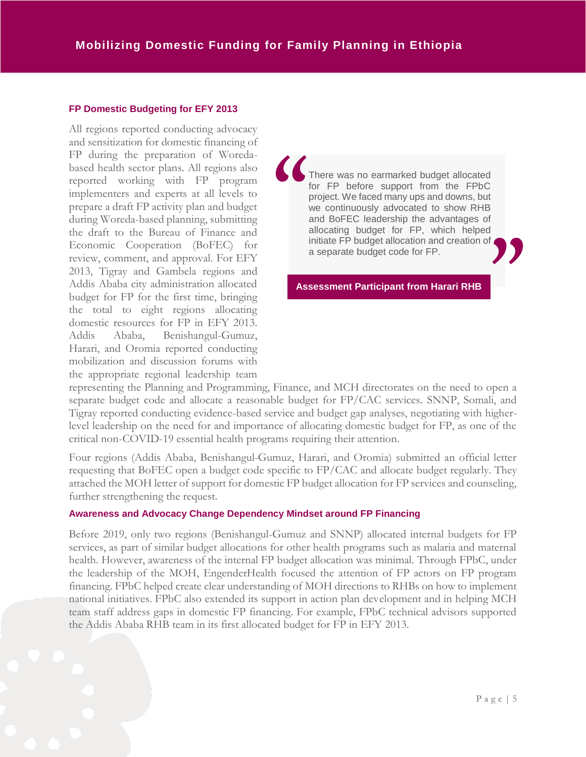#### **FP Domestic Budgeting for EFY 2013**

All regions reported conducting advocacy and sensitization for domestic financing of FP during the preparation of Woredabased health sector plans. All regions also reported working with FP program implementers and experts at all levels to prepare a draft FP activity plan and budget during Woreda-based planning, submitting the draft to the Bureau of Finance and Economic Cooperation (BoFEC) for review, comment, and approval. For EFY 2013, Tigray and Gambela regions and Addis Ababa city administration allocated budget for FP for the first time, bringing the total to eight regions allocating domestic resources for FP in EFY 2013. Addis Ababa, Benishangul-Gumuz, Harari, and Oromia reported conducting mobilization and discussion forums with the appropriate regional leadership team

There was no earmarked budget allocated for FP before support from the FPbC project. We faced many ups and downs, but we continuously advocated to show RHB and BoFEC leadership the advantages of allocating budget for FP, which helped initiate FP budget allocation and creation of a separate budget code for FP. **" "**

**Assessment Participant from Harari RHB**

representing the Planning and Programming, Finance, and MCH directorates on the need to open a separate budget code and allocate a reasonable budget for FP/CAC services. SNNP, Somali, and Tigray reported conducting evidence-based service and budget gap analyses, negotiating with higherlevel leadership on the need for and importance of allocating domestic budget for FP, as one of the critical non-COVID-19 essential health programs requiring their attention.

Four regions (Addis Ababa, Benishangul-Gumuz, Harari, and Oromia) submitted an official letter requesting that BoFEC open a budget code specific to FP/CAC and allocate budget regularly. They attached the MOH letter of support for domestic FP budget allocation for FP services and counseling, further strengthening the request.

#### **Awareness and Advocacy Change Dependency Mindset around FP Financing**

Before 2019, only two regions (Benishangul-Gumuz and SNNP) allocated internal budgets for FP services, as part of similar budget allocations for other health programs such as malaria and maternal health. However, awareness of the internal FP budget allocation was minimal. Through FPbC, under the leadership of the MOH, EngenderHealth focused the attention of FP actors on FP program financing. FPbC helped create clear understanding of MOH directions to RHBs on how to implement national initiatives. FPbC also extended its support in action plan development and in helping MCH team staff address gaps in domestic FP financing. For example, FPbC technical advisors supported the Addis Ababa RHB team in its first allocated budget for FP in EFY 2013.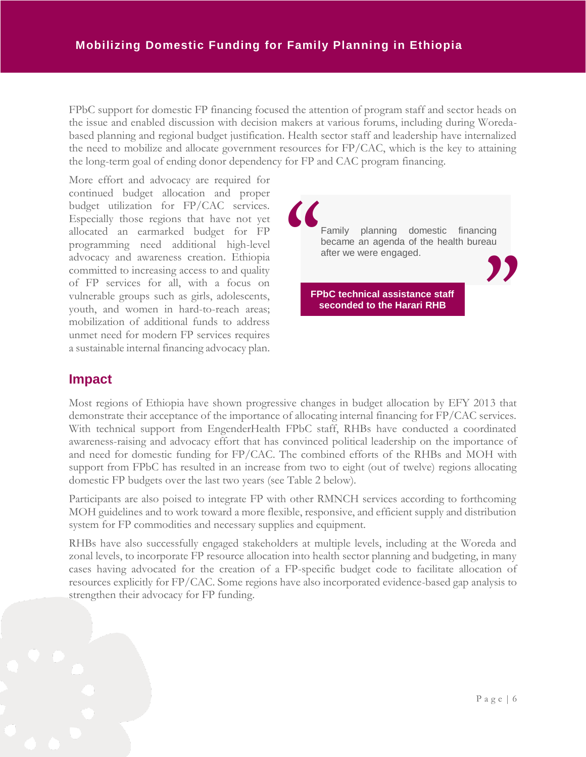FPbC support for domestic FP financing focused the attention of program staff and sector heads on the issue and enabled discussion with decision makers at various forums, including during Woredabased planning and regional budget justification. Health sector staff and leadership have internalized the need to mobilize and allocate government resources for  $FP/CAC$ , which is the key to attaining the long-term goal of ending donor dependency for FP and CAC program financing.

More effort and advocacy are required for continued budget allocation and proper budget utilization for FP/CAC services. Especially those regions that have not yet allocated an earmarked budget for FP programming need additional high-level advocacy and awareness creation. Ethiopia committed to increasing access to and quality of FP services for all, with a focus on vulnerable groups such as girls, adolescents, youth, and women in hard-to-reach areas; mobilization of additional funds to address unmet need for modern FP services requires a sustainable internal financing advocacy plan.



# **Impact**

Most regions of Ethiopia have shown progressive changes in budget allocation by EFY 2013 that demonstrate their acceptance of the importance of allocating internal financing for FP/CAC services. With technical support from EngenderHealth FPbC staff, RHBs have conducted a coordinated awareness-raising and advocacy effort that has convinced political leadership on the importance of and need for domestic funding for FP/CAC. The combined efforts of the RHBs and MOH with support from FPbC has resulted in an increase from two to eight (out of twelve) regions allocating domestic FP budgets over the last two years (see Table 2 below).

Participants are also poised to integrate FP with other RMNCH services according to forthcoming MOH guidelines and to work toward a more flexible, responsive, and efficient supply and distribution system for FP commodities and necessary supplies and equipment.

RHBs have also successfully engaged stakeholders at multiple levels, including at the Woreda and zonal levels, to incorporate FP resource allocation into health sector planning and budgeting, in many cases having advocated for the creation of a FP-specific budget code to facilitate allocation of resources explicitly for FP/CAC. Some regions have also incorporated evidence-based gap analysis to strengthen their advocacy for FP funding.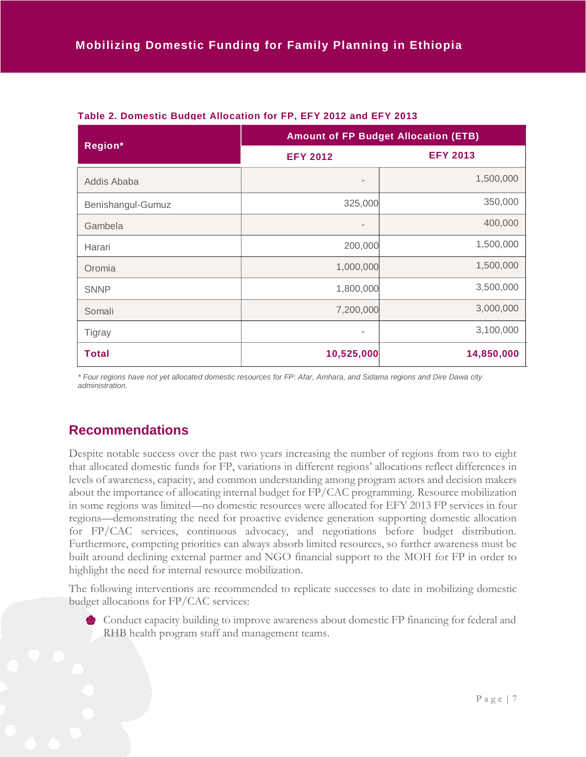| Region*           | <b>Amount of FP Budget Allocation (ETB)</b> |                 |
|-------------------|---------------------------------------------|-----------------|
|                   | <b>EFY 2012</b>                             | <b>EFY 2013</b> |
| Addis Ababa       | $\overline{\phantom{a}}$                    | 1,500,000       |
| Benishangul-Gumuz | 325,000                                     | 350,000         |
| Gambela           | $\blacksquare$                              | 400,000         |
| Harari            | 200,000                                     | 1,500,000       |
| Oromia            | 1,000,000                                   | 1,500,000       |
| <b>SNNP</b>       | 1,800,000                                   | 3,500,000       |
| Somali            | 7,200,000                                   | 3,000,000       |
| <b>Tigray</b>     | ٠                                           | 3,100,000       |
| <b>Total</b>      | 10,525,000                                  | 14,850,000      |

### **Table 2. Domestic Budget Allocation for FP, EFY 2012 and EFY 2013**

*\* Four regions have not yet allocated domestic resources for FP: Afar, Amhara, and Sidama regions and Dire Dawa city administration.*

# **Recommendations**

Despite notable success over the past two years increasing the number of regions from two to eight that allocated domestic funds for FP, variations in different regions' allocations reflect differences in levels of awareness, capacity, and common understanding among program actors and decision makers about the importance of allocating internal budget for FP/CAC programming. Resource mobilization in some regions was limited—no domestic resources were allocated for EFY 2013 FP services in four regions—demonstrating the need for proactive evidence generation supporting domestic allocation for FP/CAC services, continuous advocacy, and negotiations before budget distribution. Furthermore, competing priorities can always absorb limited resources, so further awareness must be built around declining external partner and NGO financial support to the MOH for FP in order to highlight the need for internal resource mobilization.

The following interventions are recommended to replicate successes to date in mobilizing domestic budget allocations for FP/CAC services:

Conduct capacity building to improve awareness about domestic FP financing for federal and RHB health program staff and management teams.